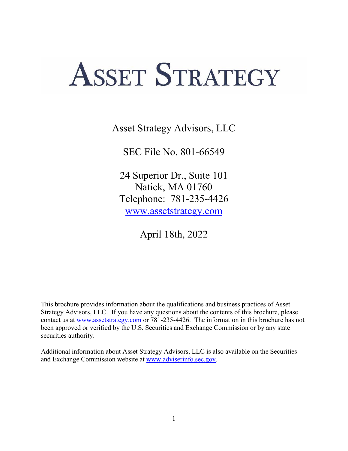# **ASSET STRATEGY**

Asset Strategy Advisors, LLC

SEC File No. 801-66549

24 Superior Dr., Suite 101 Natick, MA 01760 Telephone: 781-235-4426 [www.assetstrategy.com](http://www.assetstrategy.com/)

April 18th, 2022

This brochure provides information about the qualifications and business practices of Asset Strategy Advisors, LLC. If you have any questions about the contents of this brochure, please contact us at [www.assetstrategy.com](http://www.assetstrategy.com/) or 781-235-4426. The information in this brochure has not been approved or verified by the U.S. Securities and Exchange Commission or by any state securities authority.

Additional information about Asset Strategy Advisors, LLC is also available on the Securities and Exchange Commission website at [www.adviserinfo.sec.gov.](http://www.adviserinfo.sec.gov/)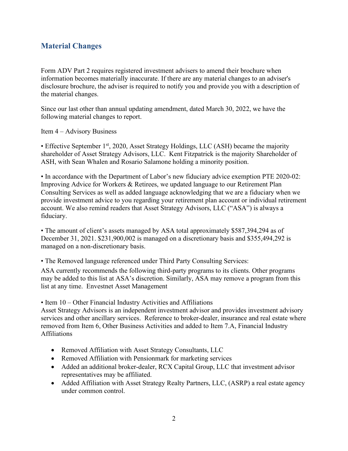# <span id="page-1-0"></span>**Material Changes**

<span id="page-1-1"></span>Form ADV Part 2 requires registered investment advisers to amend their brochure when information becomes materially inaccurate. If there are any material changes to an adviser's disclosure brochure, the adviser is required to notify you and provide you with a description of the material changes.

Since our last other than annual updating amendment, dated March 30, 2022, we have the following material changes to report.

Item 4 – Advisory Business

• Effective September 1<sup>st</sup>, 2020, Asset Strategy Holdings, LLC (ASH) became the majority shareholder of Asset Strategy Advisors, LLC. Kent Fitzpatrick is the majority Shareholder of ASH, with Sean Whalen and Rosario Salamone holding a minority position.

• In accordance with the Department of Labor's new fiduciary advice exemption PTE 2020-02: Improving Advice for Workers & Retirees, we updated language to our Retirement Plan Consulting Services as well as added language acknowledging that we are a fiduciary when we provide investment advice to you regarding your retirement plan account or individual retirement account. We also remind readers that Asset Strategy Advisors, LLC ("ASA") is always a fiduciary.

• The amount of client's assets managed by ASA total approximately \$587,394,294 as of December 31, 2021. \$231,900,002 is managed on a discretionary basis and \$355,494,292 is managed on a non-discretionary basis.

• The Removed language referenced under Third Party Consulting Services:

ASA currently recommends the following third-party programs to its clients. Other programs may be added to this list at ASA's discretion. Similarly, ASA may remove a program from this list at any time. Envestnet Asset Management

• Item 10 – Other Financial Industry Activities and Affiliations

Asset Strategy Advisors is an independent investment advisor and provides investment advisory services and other ancillary services. Reference to broker-dealer, insurance and real estate where removed from Item 6, Other Business Activities and added to Item 7.A, Financial Industry Affiliations

- Removed Affiliation with Asset Strategy Consultants, LLC
- Removed Affiliation with Pensionmark for marketing services
- Added an additional broker-dealer, RCX Capital Group, LLC that investment advisor representatives may be affiliated.
- Added Affiliation with Asset Strategy Realty Partners, LLC, (ASRP) a real estate agency under common control.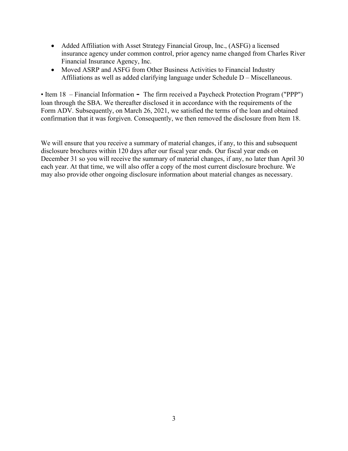- Added Affiliation with Asset Strategy Financial Group, Inc., (ASFG) a licensed insurance agency under common control, prior agency name changed from Charles River Financial Insurance Agency, Inc.
- Moved ASRP and ASFG from Other Business Activities to Financial Industry Affiliations as well as added clarifying language under Schedule D – Miscellaneous.

• Item 18 – Financial Information **-** The firm received a Paycheck Protection Program ("PPP") loan through the SBA. We thereafter disclosed it in accordance with the requirements of the Form ADV. Subsequently, on March 26, 2021, we satisfied the terms of the loan and obtained confirmation that it was forgiven. Consequently, we then removed the disclosure from Item 18.

We will ensure that you receive a summary of material changes, if any, to this and subsequent disclosure brochures within 120 days after our fiscal year ends. Our fiscal year ends on December 31 so you will receive the summary of material changes, if any, no later than April 30 each year. At that time, we will also offer a copy of the most current disclosure brochure. We may also provide other ongoing disclosure information about material changes as necessary.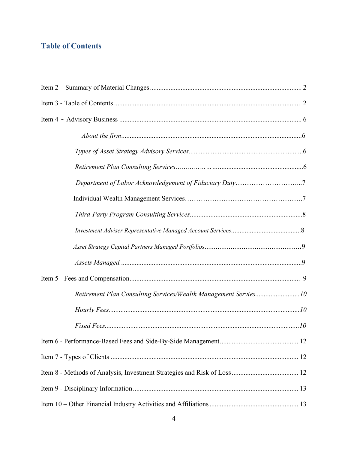# **Table of Contents**

| Department of Labor Acknowledgement of Fiduciary Duty7          |
|-----------------------------------------------------------------|
|                                                                 |
|                                                                 |
|                                                                 |
|                                                                 |
|                                                                 |
|                                                                 |
| Retirement Plan Consulting Services/Wealth Management Servies10 |
|                                                                 |
|                                                                 |
|                                                                 |
|                                                                 |
|                                                                 |
|                                                                 |
|                                                                 |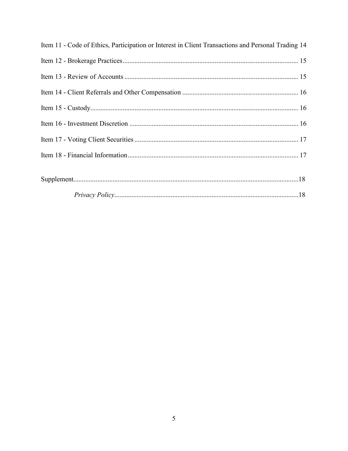| Item 11 - Code of Ethics, Participation or Interest in Client Transactions and Personal Trading 14 |  |
|----------------------------------------------------------------------------------------------------|--|
|                                                                                                    |  |
|                                                                                                    |  |
|                                                                                                    |  |
|                                                                                                    |  |
|                                                                                                    |  |
|                                                                                                    |  |
|                                                                                                    |  |
|                                                                                                    |  |
|                                                                                                    |  |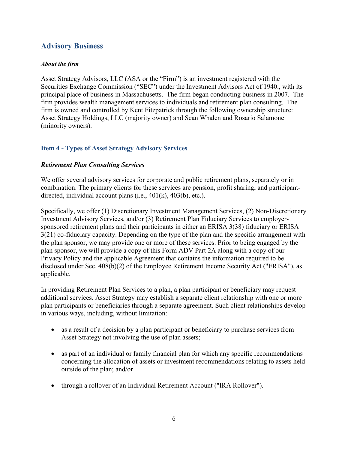# <span id="page-5-0"></span>**Advisory Business**

#### *About the firm*

Asset Strategy Advisors, LLC (ASA or the "Firm") is an investment registered with the Securities Exchange Commission ("SEC") under the Investment Advisors Act of 1940., with its principal place of business in Massachusetts. The firm began conducting business in 2007. The firm provides wealth management services to individuals and retirement plan consulting. The firm is owned and controlled by Kent Fitzpatrick through the following ownership structure: Asset Strategy Holdings, LLC (majority owner) and Sean Whalen and Rosario Salamone (minority owners).

## **Item 4 - Types of Asset Strategy Advisory Services**

## *Retirement Plan Consulting Services*

We offer several advisory services for corporate and public retirement plans, separately or in combination. The primary clients for these services are pension, profit sharing, and participantdirected, individual account plans (i.e., 401(k), 403(b), etc.).

Specifically, we offer (1) Discretionary Investment Management Services, (2) Non-Discretionary Investment Advisory Services, and/or (3) Retirement Plan Fiduciary Services to employersponsored retirement plans and their participants in either an ERISA 3(38) fiduciary or ERISA 3(21) co-fiduciary capacity. Depending on the type of the plan and the specific arrangement with the plan sponsor, we may provide one or more of these services. Prior to being engaged by the plan sponsor, we will provide a copy of this Form ADV Part 2A along with a copy of our Privacy Policy and the applicable Agreement that contains the information required to be disclosed under Sec. 408(b)(2) of the Employee Retirement Income Security Act ("ERISA"), as applicable.

In providing Retirement Plan Services to a plan, a plan participant or beneficiary may request additional services. Asset Strategy may establish a separate client relationship with one or more plan participants or beneficiaries through a separate agreement. Such client relationships develop in various ways, including, without limitation:

- as a result of a decision by a plan participant or beneficiary to purchase services from Asset Strategy not involving the use of plan assets;
- as part of an individual or family financial plan for which any specific recommendations concerning the allocation of assets or investment recommendations relating to assets held outside of the plan; and/or
- through a rollover of an Individual Retirement Account ("IRA Rollover").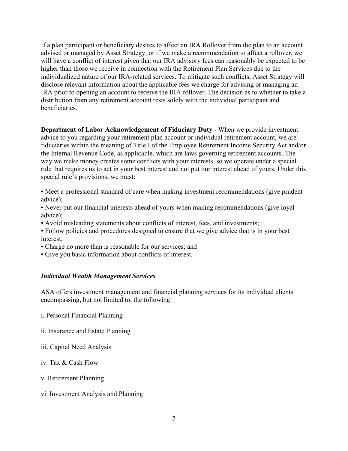If a plan participant or beneficiary desires to affect an IRA Rollover from the plan to an account advised or managed by Asset Strategy, or if we make a recommendation to affect a rollover, we will have a conflict of interest given that our IRA advisory fees can reasonably be expected to be higher than those we receive in connection with the Retirement Plan Services due to the individualized nature of our IRA-related services. To mitigate such conflicts, Asset Strategy will disclose relevant information about the applicable fees we charge for advising or managing an IRA prior to opening an account to receive the IRA rollover. The decision as to whether to take a distribution from any retirement account rests solely with the individual participant and beneficiaries.

**Department of Labor Acknowledgement of Fiduciary Duty** - When we provide investment advice to you regarding your retirement plan account or individual retirement account, we are fiduciaries within the meaning of Title I of the Employee Retirement Income Security Act and/or the Internal Revenue Code, as applicable, which are laws governing retirement accounts. The way we make money creates some conflicts with your interests, so we operate under a special rule that requires us to act in your best interest and not put our interest ahead of yours. Under this special rule's provisions, we must:

• Meet a professional standard of care when making investment recommendations (give prudent advice);

• Never put our financial interests ahead of yours when making recommendations (give loyal advice);

- Avoid misleading statements about conflicts of interest, fees, and investments;
- Follow policies and procedures designed to ensure that we give advice that is in your best interest;

• Charge no more than is reasonable for our services; and

• Give you basic information about conflicts of interest.

#### *Individual Wealth Management Services*

ASA offers investment management and financial planning services for its individual clients encompassing, but not limited to, the following:

i. Personal Financial Planning

ii. Insurance and Estate Planning

iii. Capital Need Analysis

iv. Tax & Cash Flow

v. Retirement Planning

vi. Investment Analysis and Planning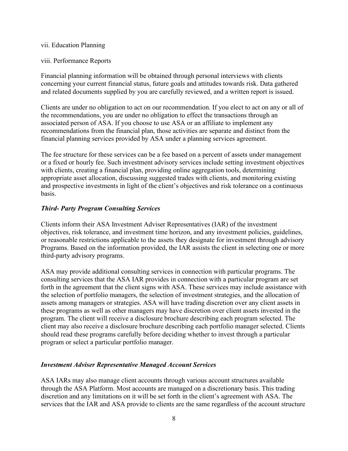#### vii. Education Planning

#### viii. Performance Reports

Financial planning information will be obtained through personal interviews with clients concerning your current financial status, future goals and attitudes towards risk. Data gathered and related documents supplied by you are carefully reviewed, and a written report is issued.

Clients are under no obligation to act on our recommendation. If you elect to act on any or all of the recommendations, you are under no obligation to effect the transactions through an associated person of ASA. If you choose to use ASA or an affiliate to implement any recommendations from the financial plan, those activities are separate and distinct from the financial planning services provided by ASA under a planning services agreement.

The fee structure for these services can be a fee based on a percent of assets under management or a fixed or hourly fee. Such investment advisory services include setting investment objectives with clients, creating a financial plan, providing online aggregation tools, determining appropriate asset allocation, discussing suggested trades with clients, and monitoring existing and prospective investments in light of the client's objectives and risk tolerance on a continuous basis.

#### *Third- Party Program Consulting Services*

Clients inform their ASA Investment Adviser Representatives (IAR) of the investment objectives, risk tolerance, and investment time horizon, and any investment policies, guidelines, or reasonable restrictions applicable to the assets they designate for investment through advisory Programs. Based on the information provided, the IAR assists the client in selecting one or more third-party advisory programs.

ASA may provide additional consulting services in connection with particular programs. The consulting services that the ASA IAR provides in connection with a particular program are set forth in the agreement that the client signs with ASA. These services may include assistance with the selection of portfolio managers, the selection of investment strategies, and the allocation of assets among managers or strategies. ASA will have trading discretion over any client assets in these programs as well as other managers may have discretion over client assets invested in the program. The client will receive a disclosure brochure describing each program selected. The client may also receive a disclosure brochure describing each portfolio manager selected. Clients should read these programs carefully before deciding whether to invest through a particular program or select a particular portfolio manager.

## *Investment Adviser Representative Managed Account Services*

ASA IARs may also manage client accounts through various account structures available through the ASA Platform. Most accounts are managed on a discretionary basis. This trading discretion and any limitations on it will be set forth in the client's agreement with ASA. The services that the IAR and ASA provide to clients are the same regardless of the account structure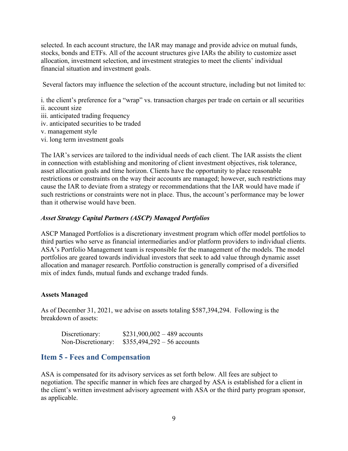selected. In each account structure, the IAR may manage and provide advice on mutual funds, stocks, bonds and ETFs. All of the account structures give IARs the ability to customize asset allocation, investment selection, and investment strategies to meet the clients' individual financial situation and investment goals.

Several factors may influence the selection of the account structure, including but not limited to:

i. the client's preference for a "wrap" vs. transaction charges per trade on certain or all securities ii. account size

- iii. anticipated trading frequency
- iv. anticipated securities to be traded
- v. management style
- vi. long term investment goals

The IAR's services are tailored to the individual needs of each client. The IAR assists the client in connection with establishing and monitoring of client investment objectives, risk tolerance, asset allocation goals and time horizon. Clients have the opportunity to place reasonable restrictions or constraints on the way their accounts are managed; however, such restrictions may cause the IAR to deviate from a strategy or recommendations that the IAR would have made if such restrictions or constraints were not in place. Thus, the account's performance may be lower than it otherwise would have been.

## *Asset Strategy Capital Partners (ASCP) Managed Portfolios*

ASCP Managed Portfolios is a discretionary investment program which offer model portfolios to third parties who serve as financial intermediaries and/or platform providers to individual clients. ASA's Portfolio Management team is responsible for the management of the models. The model portfolios are geared towards individual investors that seek to add value through dynamic asset allocation and manager research. Portfolio construction is generally comprised of a diversified mix of index funds, mutual funds and exchange traded funds.

#### **Assets Managed**

As of December 31, 2021, we advise on assets totaling \$587,394,294. Following is the breakdown of assets:

| Discretionary:     | $$231,900,002 - 489$ accounts |
|--------------------|-------------------------------|
| Non-Discretionary: | $$355,494,292 - 56$ accounts  |

## <span id="page-8-0"></span>**Item 5 - Fees and Compensation**

ASA is compensated for its advisory services as set forth below. All fees are subject to negotiation. The specific manner in which fees are charged by ASA is established for a client in the client's written investment advisory agreement with ASA or the third party program sponsor, as applicable.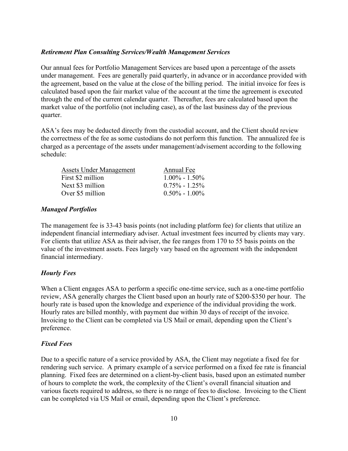#### *Retirement Plan Consulting Services/Wealth Management Services*

Our annual fees for Portfolio Management Services are based upon a percentage of the assets under management. Fees are generally paid quarterly, in advance or in accordance provided with the agreement, based on the value at the close of the billing period. The initial invoice for fees is calculated based upon the fair market value of the account at the time the agreement is executed through the end of the current calendar quarter. Thereafter, fees are calculated based upon the market value of the portfolio (not including case), as of the last business day of the previous quarter.

ASA's fees may be deducted directly from the custodial account, and the Client should review the correctness of the fee as some custodians do not perform this function. The annualized fee is charged as a percentage of the assets under management/advisement according to the following schedule:

| <b>Assets Under Management</b> | Annual Fee        |
|--------------------------------|-------------------|
| First \$2 million              | $1.00\% - 1.50\%$ |
| Next \$3 million               | $0.75\% - 1.25\%$ |
| Over \$5 million               | $0.50\% - 1.00\%$ |
|                                |                   |

#### *Managed Portfolios*

The management fee is 33-43 basis points (not including platform fee) for clients that utilize an independent financial intermediary adviser. Actual investment fees incurred by clients may vary. For clients that utilize ASA as their adviser, the fee ranges from 170 to 55 basis points on the value of the investment assets. Fees largely vary based on the agreement with the independent financial intermediary.

## *Hourly Fees*

When a Client engages ASA to perform a specific one-time service, such as a one-time portfolio review, ASA generally charges the Client based upon an hourly rate of \$200-\$350 per hour. The hourly rate is based upon the knowledge and experience of the individual providing the work. Hourly rates are billed monthly, with payment due within 30 days of receipt of the invoice. Invoicing to the Client can be completed via US Mail or email, depending upon the Client's preference.

#### *Fixed Fees*

Due to a specific nature of a service provided by ASA, the Client may negotiate a fixed fee for rendering such service. A primary example of a service performed on a fixed fee rate is financial planning. Fixed fees are determined on a client-by-client basis, based upon an estimated number of hours to complete the work, the complexity of the Client's overall financial situation and various facets required to address, so there is no range of fees to disclose. Invoicing to the Client can be completed via US Mail or email, depending upon the Client's preference.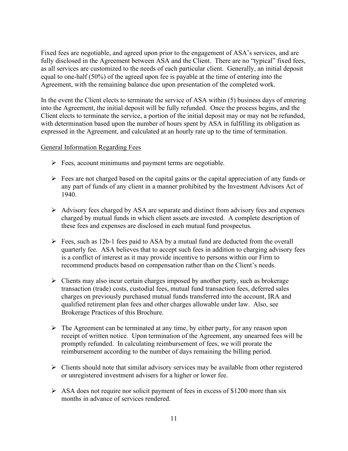Fixed fees are negotiable, and agreed upon prior to the engagement of ASA's services, and are fully disclosed in the Agreement between ASA and the Client. There are no "typical" fixed fees, as all services are customized to the needs of each particular client. Generally, an initial deposit equal to one-half (50%) of the agreed upon fee is payable at the time of entering into the Agreement, with the remaining balance due upon presentation of the completed work.

In the event the Client elects to terminate the service of ASA within (5) business days of entering into the Agreement, the initial deposit will be fully refunded. Once the process begins, and the Client elects to terminate the service, a portion of the initial deposit may or may not be refunded, with determination based upon the number of hours spent by ASA in fulfilling its obligation as expressed in the Agreement, and calculated at an hourly rate up to the time of termination.

#### General Information Regarding Fees

- $\triangleright$  Fees, account minimums and payment terms are negotiable.
- $\triangleright$  Fees are not charged based on the capital gains or the capital appreciation of any funds or any part of funds of any client in a manner prohibited by the Investment Advisors Act of 1940.
- $\triangleright$  Advisory fees charged by ASA are separate and distinct from advisory fees and expenses charged by mutual funds in which client assets are invested. A complete description of these fees and expenses are disclosed in each mutual fund prospectus.
- $\triangleright$  Fees, such as 12b-1 fees paid to ASA by a mutual fund are deducted from the overall quarterly fee. ASA believes that to accept such fees in addition to charging advisory fees is a conflict of interest as it may provide incentive to persons within our Firm to recommend products based on compensation rather than on the Client's needs.
- $\triangleright$  Clients may also incur certain charges imposed by another party, such as brokerage transaction (trade) costs, custodial fees, mutual fund transaction fees, deferred sales charges on previously purchased mutual funds transferred into the account, IRA and qualified retirement plan fees and other charges allowable under law. Also, see Brokerage Practices of this Brochure.
- $\triangleright$  The Agreement can be terminated at any time, by either party, for any reason upon receipt of written notice. Upon termination of the Agreement, any unearned fees will be promptly refunded. In calculating reimbursement of fees, we will prorate the reimbursement according to the number of days remaining the billing period.
- $\triangleright$  Clients should note that similar advisory services may be available from other registered or unregistered investment advisers for a higher or lower fee.
- $\triangleright$  ASA does not require nor solicit payment of fees in excess of \$1200 more than six months in advance of services rendered.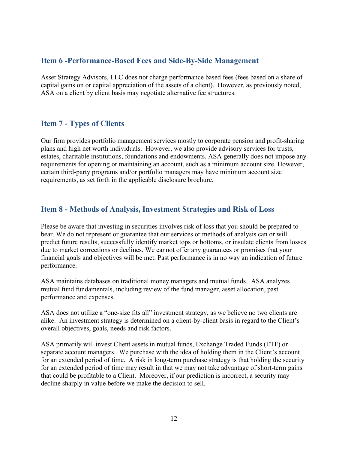# <span id="page-11-0"></span>**Item 6 -Performance-Based Fees and Side-By-Side Management**

Asset Strategy Advisors, LLC does not charge performance based fees (fees based on a share of capital gains on or capital appreciation of the assets of a client). However, as previously noted, ASA on a client by client basis may negotiate alternative fee structures.

# <span id="page-11-1"></span>**Item 7 - Types of Clients**

Our firm provides portfolio management services mostly to corporate pension and profit-sharing plans and high net worth individuals. However, we also provide advisory services for trusts, estates, charitable institutions, foundations and endowments. ASA generally does not impose any requirements for opening or maintaining an account, such as a minimum account size. However, certain third-party programs and/or portfolio managers may have minimum account size requirements, as set forth in the applicable disclosure brochure.

# <span id="page-11-2"></span>**Item 8 - Methods of Analysis, Investment Strategies and Risk of Loss**

Please be aware that investing in securities involves risk of loss that you should be prepared to bear. We do not represent or guarantee that our services or methods of analysis can or will predict future results, successfully identify market tops or bottoms, or insulate clients from losses due to market corrections or declines. We cannot offer any guarantees or promises that your financial goals and objectives will be met. Past performance is in no way an indication of future performance.

ASA maintains databases on traditional money managers and mutual funds. ASA analyzes mutual fund fundamentals, including review of the fund manager, asset allocation, past performance and expenses.

ASA does not utilize a "one-size fits all" investment strategy, as we believe no two clients are alike. An investment strategy is determined on a client-by-client basis in regard to the Client's overall objectives, goals, needs and risk factors.

ASA primarily will invest Client assets in mutual funds, Exchange Traded Funds (ETF) or separate account managers. We purchase with the idea of holding them in the Client's account for an extended period of time. A risk in long-term purchase strategy is that holding the security for an extended period of time may result in that we may not take advantage of short-term gains that could be profitable to a Client. Moreover, if our prediction is incorrect, a security may decline sharply in value before we make the decision to sell.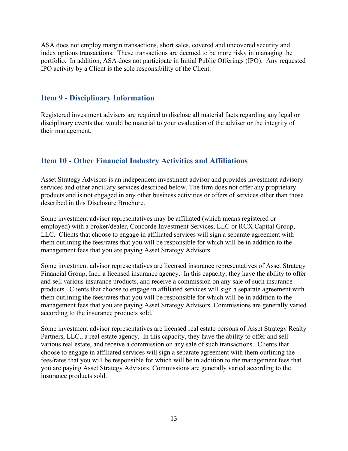ASA does not employ margin transactions, short sales, covered and uncovered security and index options transactions. These transactions are deemed to be more risky in managing the portfolio. In addition, ASA does not participate in Initial Public Offerings (IPO). Any requested IPO activity by a Client is the sole responsibility of the Client.

## <span id="page-12-0"></span>**Item 9 - Disciplinary Information**

Registered investment advisers are required to disclose all material facts regarding any legal or disciplinary events that would be material to your evaluation of the adviser or the integrity of their management.

# <span id="page-12-1"></span>**Item 10 - Other Financial Industry Activities and Affiliations**

Asset Strategy Advisors is an independent investment advisor and provides investment advisory services and other ancillary services described below. The firm does not offer any proprietary products and is not engaged in any other business activities or offers of services other than those described in this Disclosure Brochure.

Some investment advisor representatives may be affiliated (which means registered or employed) with a broker/dealer, Concorde Investment Services, LLC or RCX Capital Group, LLC. Clients that choose to engage in affiliated services will sign a separate agreement with them outlining the fees/rates that you will be responsible for which will be in addition to the management fees that you are paying Asset Strategy Advisors.

Some investment advisor representatives are licensed insurance representatives of Asset Strategy Financial Group, Inc., a licensed insurance agency. In this capacity, they have the ability to offer and sell various insurance products, and receive a commission on any sale of such insurance products. Clients that choose to engage in affiliated services will sign a separate agreement with them outlining the fees/rates that you will be responsible for which will be in addition to the management fees that you are paying Asset Strategy Advisors. Commissions are generally varied according to the insurance products sold.

Some investment advisor representatives are licensed real estate persons of Asset Strategy Realty Partners, LLC., a real estate agency. In this capacity, they have the ability to offer and sell various real estate, and receive a commission on any sale of such transactions. Clients that choose to engage in affiliated services will sign a separate agreement with them outlining the fees/rates that you will be responsible for which will be in addition to the management fees that you are paying Asset Strategy Advisors. Commissions are generally varied according to the insurance products sold.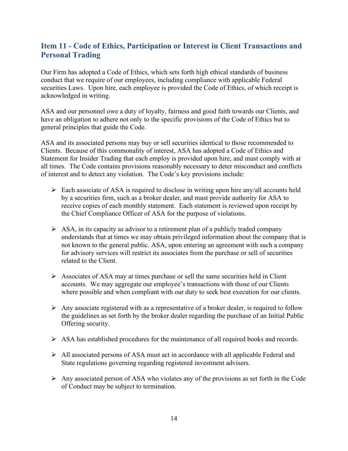# <span id="page-13-0"></span>**Item 11 - Code of Ethics, Participation or Interest in Client Transactions and Personal Trading**

Our Firm has adopted a Code of Ethics, which sets forth high ethical standards of business conduct that we require of our employees, including compliance with applicable Federal securities Laws. Upon hire, each employee is provided the Code of Ethics, of which receipt is acknowledged in writing.

ASA and our personnel owe a duty of loyalty, fairness and good faith towards our Clients, and have an obligation to adhere not only to the specific provisions of the Code of Ethics but to general principles that guide the Code.

ASA and its associated persons may buy or sell securities identical to those recommended to Clients. Because of this commonality of interest, ASA has adopted a Code of Ethics and Statement for Insider Trading that each employ is provided upon hire, and must comply with at all times. The Code contains provisions reasonably necessary to deter misconduct and conflicts of interest and to detect any violation. The Code's key provisions include:

- $\triangleright$  Each associate of ASA is required to disclose in writing upon hire any/all accounts held by a securities firm, such as a broker dealer, and must provide authority for ASA to receive copies of each monthly statement. Each statement is reviewed upon receipt by the Chief Compliance Officer of ASA for the purpose of violations.
- $\triangleright$  ASA, in its capacity as advisor to a retirement plan of a publicly traded company understands that at times we may obtain privileged information about the company that is not known to the general public. ASA, upon entering an agreement with such a company for advisory services will restrict its associates from the purchase or sell of securities related to the Client.
- $\triangleright$  Associates of ASA may at times purchase or sell the same securities held in Client accounts. We may aggregate our employee's transactions with those of our Clients where possible and when compliant with our duty to seek best execution for our clients.
- $\triangleright$  Any associate registered with as a representative of a broker dealer, is required to follow the guidelines as set forth by the broker dealer regarding the purchase of an Initial Public Offering security.
- $\triangleright$  ASA has established procedures for the maintenance of all required books and records.
- All associated persons of ASA must act in accordance with all applicable Federal and State regulations governing regarding registered investment advisers.
- $\triangleright$  Any associated person of ASA who violates any of the provisions as set forth in the Code of Conduct may be subject to termination.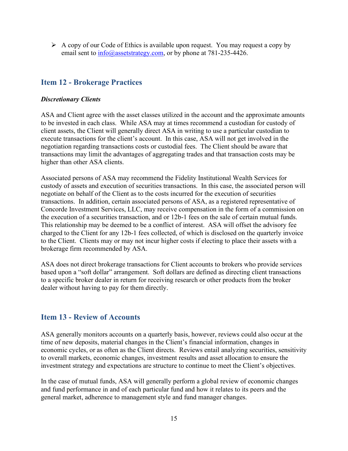$\triangleright$  A copy of our Code of Ethics is available upon request. You may request a copy by email sent to  $\frac{info}{\omega}$ assetstrategy.com, or by phone at 781-235-4426.

# <span id="page-14-0"></span>**Item 12 - Brokerage Practices**

#### *Discretionary Clients*

ASA and Client agree with the asset classes utilized in the account and the approximate amounts to be invested in each class. While ASA may at times recommend a custodian for custody of client assets, the Client will generally direct ASA in writing to use a particular custodian to execute transactions for the client's account. In this case, ASA will not get involved in the negotiation regarding transactions costs or custodial fees. The Client should be aware that transactions may limit the advantages of aggregating trades and that transaction costs may be higher than other ASA clients.

Associated persons of ASA may recommend the Fidelity Institutional Wealth Services for custody of assets and execution of securities transactions. In this case, the associated person will negotiate on behalf of the Client as to the costs incurred for the execution of securities transactions. In addition, certain associated persons of ASA, as a registered representative of Concorde Investment Services, LLC, may receive compensation in the form of a commission on the execution of a securities transaction, and or 12b-1 fees on the sale of certain mutual funds. This relationship may be deemed to be a conflict of interest. ASA will offset the advisory fee charged to the Client for any 12b-1 fees collected, of which is disclosed on the quarterly invoice to the Client. Clients may or may not incur higher costs if electing to place their assets with a brokerage firm recommended by ASA.

ASA does not direct brokerage transactions for Client accounts to brokers who provide services based upon a "soft dollar" arrangement. Soft dollars are defined as directing client transactions to a specific broker dealer in return for receiving research or other products from the broker dealer without having to pay for them directly.

# <span id="page-14-1"></span>**Item 13 - Review of Accounts**

ASA generally monitors accounts on a quarterly basis, however, reviews could also occur at the time of new deposits, material changes in the Client's financial information, changes in economic cycles, or as often as the Client directs. Reviews entail analyzing securities, sensitivity to overall markets, economic changes, investment results and asset allocation to ensure the investment strategy and expectations are structure to continue to meet the Client's objectives.

In the case of mutual funds, ASA will generally perform a global review of economic changes and fund performance in and of each particular fund and how it relates to its peers and the general market, adherence to management style and fund manager changes.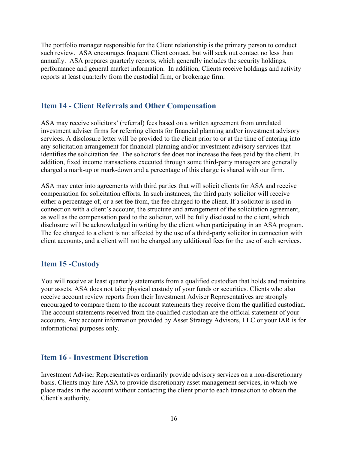The portfolio manager responsible for the Client relationship is the primary person to conduct such review. ASA encourages frequent Client contact, but will seek out contact no less than annually. ASA prepares quarterly reports, which generally includes the security holdings, performance and general market information. In addition, Clients receive holdings and activity reports at least quarterly from the custodial firm, or brokerage firm.

## <span id="page-15-0"></span>**Item 14 - Client Referrals and Other Compensation**

ASA may receive solicitors' (referral) fees based on a written agreement from unrelated investment adviser firms for referring clients for financial planning and/or investment advisory services. A disclosure letter will be provided to the client prior to or at the time of entering into any solicitation arrangement for financial planning and/or investment advisory services that identifies the solicitation fee. The solicitor's fee does not increase the fees paid by the client. In addition, fixed income transactions executed through some third-party managers are generally charged a mark-up or mark-down and a percentage of this charge is shared with our firm.

ASA may enter into agreements with third parties that will solicit clients for ASA and receive compensation for solicitation efforts. In such instances, the third party solicitor will receive either a percentage of, or a set fee from, the fee charged to the client. If a solicitor is used in connection with a client's account, the structure and arrangement of the solicitation agreement, as well as the compensation paid to the solicitor, will be fully disclosed to the client, which disclosure will be acknowledged in writing by the client when participating in an ASA program. The fee charged to a client is not affected by the use of a third-party solicitor in connection with client accounts, and a client will not be charged any additional fees for the use of such services.

## <span id="page-15-1"></span>**Item 15 -Custody**

You will receive at least quarterly statements from a qualified custodian that holds and maintains your assets. ASA does not take physical custody of your funds or securities. Clients who also receive account review reports from their Investment Adviser Representatives are strongly encouraged to compare them to the account statements they receive from the qualified custodian. The account statements received from the qualified custodian are the official statement of your accounts. Any account information provided by Asset Strategy Advisors, LLC or your IAR is for informational purposes only.

## <span id="page-15-2"></span>**Item 16 - Investment Discretion**

Investment Adviser Representatives ordinarily provide advisory services on a non-discretionary basis. Clients may hire ASA to provide discretionary asset management services, in which we place trades in the account without contacting the client prior to each transaction to obtain the Client's authority.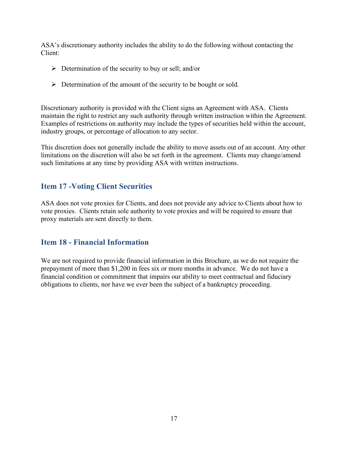ASA's discretionary authority includes the ability to do the following without contacting the Client:

- $\triangleright$  Determination of the security to buy or sell; and/or
- $\triangleright$  Determination of the amount of the security to be bought or sold.

Discretionary authority is provided with the Client signs an Agreement with ASA. Clients maintain the right to restrict any such authority through written instruction within the Agreement. Examples of restrictions on authority may include the types of securities held within the account, industry groups, or percentage of allocation to any sector.

This discretion does not generally include the ability to move assets out of an account. Any other limitations on the discretion will also be set forth in the agreement. Clients may change/amend such limitations at any time by providing ASA with written instructions.

# <span id="page-16-0"></span>**Item 17 -Voting Client Securities**

ASA does not vote proxies for Clients, and does not provide any advice to Clients about how to vote proxies. Clients retain sole authority to vote proxies and will be required to ensure that proxy materials are sent directly to them.

# <span id="page-16-1"></span>**Item 18 - Financial Information**

We are not required to provide financial information in this Brochure, as we do not require the prepayment of more than \$1,200 in fees six or more months in advance. We do not have a financial condition or commitment that impairs our ability to meet contractual and fiduciary obligations to clients, nor have we ever been the subject of a bankruptcy proceeding.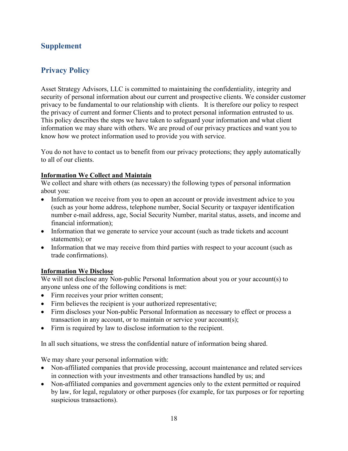# **Supplement**

# **Privacy Policy**

Asset Strategy Advisors, LLC is committed to maintaining the confidentiality, integrity and security of personal information about our current and prospective clients. We consider customer privacy to be fundamental to our relationship with clients. It is therefore our policy to respect the privacy of current and former Clients and to protect personal information entrusted to us. This policy describes the steps we have taken to safeguard your information and what client information we may share with others. We are proud of our privacy practices and want you to know how we protect information used to provide you with service.

You do not have to contact us to benefit from our privacy protections; they apply automatically to all of our clients.

#### **Information We Collect and Maintain**

We collect and share with others (as necessary) the following types of personal information about you:

- Information we receive from you to open an account or provide investment advice to you (such as your home address, telephone number, Social Security or taxpayer identification number e-mail address, age, Social Security Number, marital status, assets, and income and financial information);
- Information that we generate to service your account (such as trade tickets and account statements); or
- Information that we may receive from third parties with respect to your account (such as trade confirmations).

#### **Information We Disclose**

We will not disclose any Non-public Personal Information about you or your account(s) to anyone unless one of the following conditions is met:

- Firm receives your prior written consent;
- Firm believes the recipient is your authorized representative;
- Firm discloses your Non-public Personal Information as necessary to effect or process a transaction in any account, or to maintain or service your account(s);
- Firm is required by law to disclose information to the recipient.

In all such situations, we stress the confidential nature of information being shared.

We may share your personal information with:

- Non-affiliated companies that provide processing, account maintenance and related services in connection with your investments and other transactions handled by us; and
- Non-affiliated companies and government agencies only to the extent permitted or required by law, for legal, regulatory or other purposes (for example, for tax purposes or for reporting suspicious transactions).